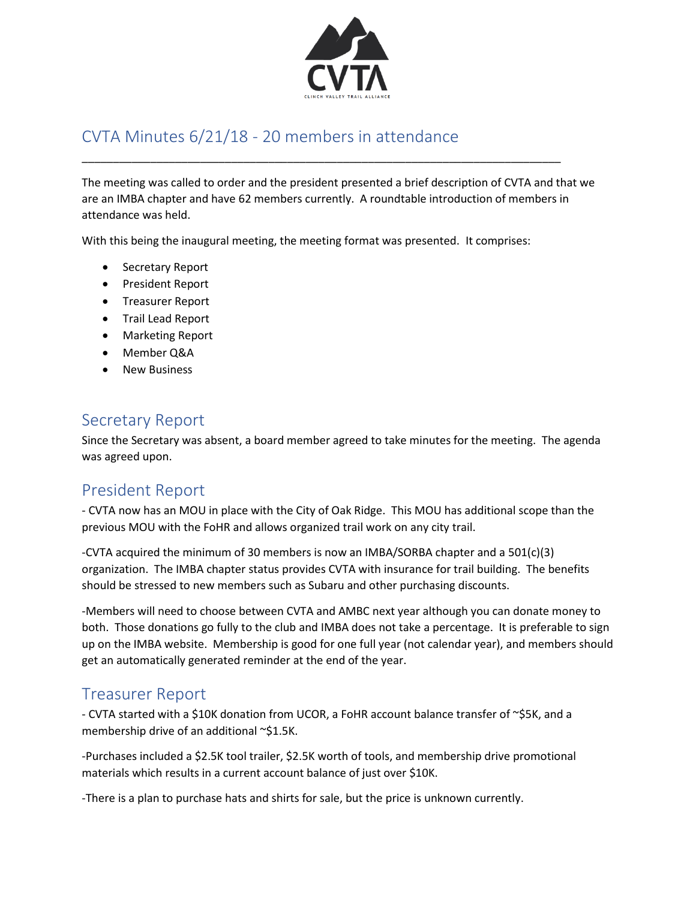

## CVTA Minutes 6/21/18 - 20 members in attendance

The meeting was called to order and the president presented a brief description of CVTA and that we are an IMBA chapter and have 62 members currently. A roundtable introduction of members in attendance was held.

\_\_\_\_\_\_\_\_\_\_\_\_\_\_\_\_\_\_\_\_\_\_\_\_\_\_\_\_\_\_\_\_\_\_\_\_\_\_\_\_\_\_\_\_\_\_\_\_\_\_\_\_\_\_\_\_\_\_\_\_\_\_\_\_\_\_\_\_\_\_\_\_\_\_\_\_\_

With this being the inaugural meeting, the meeting format was presented. It comprises:

- Secretary Report
- President Report
- Treasurer Report
- Trail Lead Report
- Marketing Report
- Member Q&A
- New Business

#### Secretary Report

Since the Secretary was absent, a board member agreed to take minutes for the meeting. The agenda was agreed upon.

#### President Report

- CVTA now has an MOU in place with the City of Oak Ridge. This MOU has additional scope than the previous MOU with the FoHR and allows organized trail work on any city trail.

-CVTA acquired the minimum of 30 members is now an IMBA/SORBA chapter and a 501(c)(3) organization. The IMBA chapter status provides CVTA with insurance for trail building. The benefits should be stressed to new members such as Subaru and other purchasing discounts.

-Members will need to choose between CVTA and AMBC next year although you can donate money to both. Those donations go fully to the club and IMBA does not take a percentage. It is preferable to sign up on the IMBA website. Membership is good for one full year (not calendar year), and members should get an automatically generated reminder at the end of the year.

#### Treasurer Report

- CVTA started with a \$10K donation from UCOR, a FoHR account balance transfer of ~\$5K, and a membership drive of an additional ~\$1.5K.

-Purchases included a \$2.5K tool trailer, \$2.5K worth of tools, and membership drive promotional materials which results in a current account balance of just over \$10K.

-There is a plan to purchase hats and shirts for sale, but the price is unknown currently.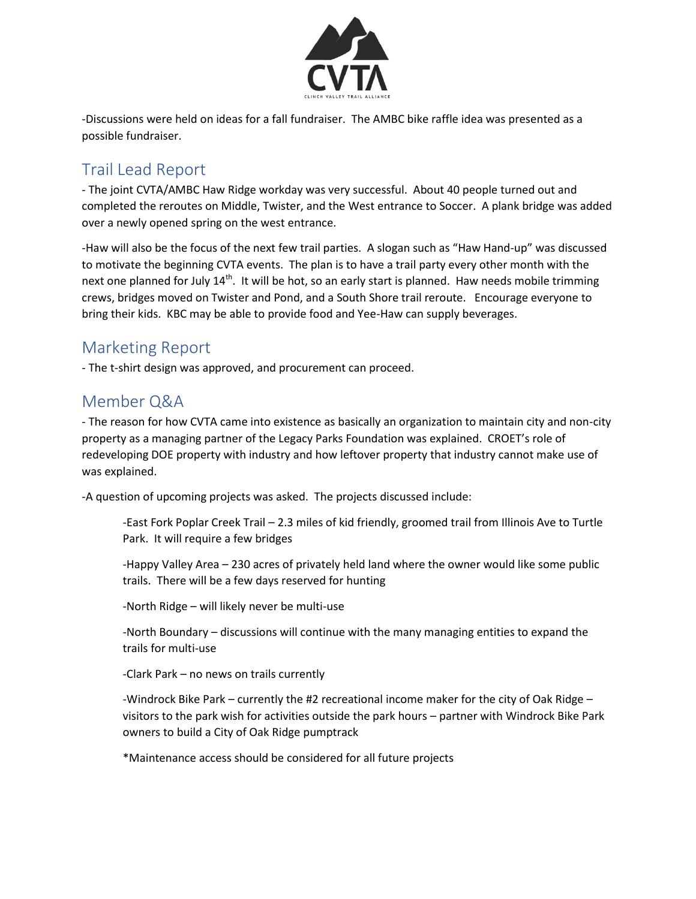

-Discussions were held on ideas for a fall fundraiser. The AMBC bike raffle idea was presented as a possible fundraiser.

### Trail Lead Report

- The joint CVTA/AMBC Haw Ridge workday was very successful. About 40 people turned out and completed the reroutes on Middle, Twister, and the West entrance to Soccer. A plank bridge was added over a newly opened spring on the west entrance.

-Haw will also be the focus of the next few trail parties. A slogan such as "Haw Hand-up" was discussed to motivate the beginning CVTA events. The plan is to have a trail party every other month with the next one planned for July  $14^{th}$ . It will be hot, so an early start is planned. Haw needs mobile trimming crews, bridges moved on Twister and Pond, and a South Shore trail reroute. Encourage everyone to bring their kids. KBC may be able to provide food and Yee-Haw can supply beverages.

# Marketing Report

- The t-shirt design was approved, and procurement can proceed.

### Member Q&A

- The reason for how CVTA came into existence as basically an organization to maintain city and non-city property as a managing partner of the Legacy Parks Foundation was explained. CROET's role of redeveloping DOE property with industry and how leftover property that industry cannot make use of was explained.

-A question of upcoming projects was asked. The projects discussed include:

-East Fork Poplar Creek Trail – 2.3 miles of kid friendly, groomed trail from Illinois Ave to Turtle Park. It will require a few bridges

-Happy Valley Area – 230 acres of privately held land where the owner would like some public trails. There will be a few days reserved for hunting

-North Ridge – will likely never be multi-use

-North Boundary – discussions will continue with the many managing entities to expand the trails for multi-use

-Clark Park – no news on trails currently

-Windrock Bike Park – currently the #2 recreational income maker for the city of Oak Ridge – visitors to the park wish for activities outside the park hours – partner with Windrock Bike Park owners to build a City of Oak Ridge pumptrack

\*Maintenance access should be considered for all future projects